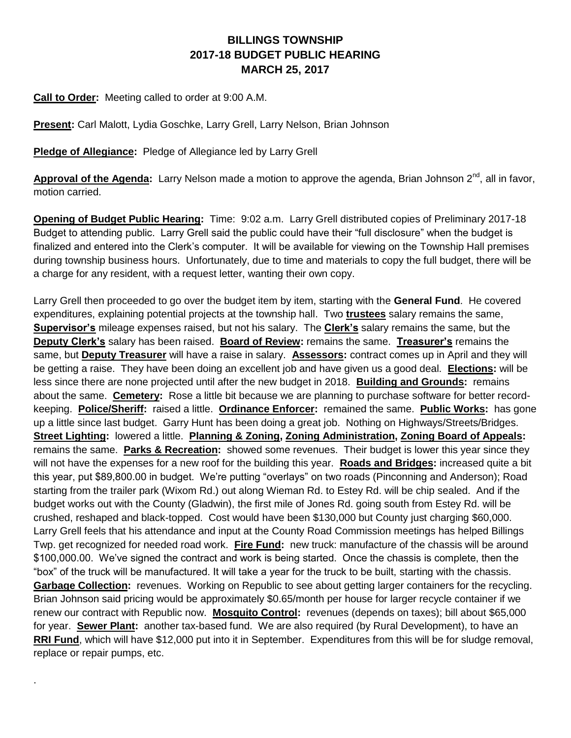## **BILLINGS TOWNSHIP 2017-18 BUDGET PUBLIC HEARING MARCH 25, 2017**

**Call to Order:** Meeting called to order at 9:00 A.M.

.

**Present:** Carl Malott, Lydia Goschke, Larry Grell, Larry Nelson, Brian Johnson

**Pledge of Allegiance:** Pledge of Allegiance led by Larry Grell

Approval of the Agenda: Larry Nelson made a motion to approve the agenda, Brian Johnson 2<sup>nd</sup>, all in favor, motion carried.

**Opening of Budget Public Hearing:** Time: 9:02 a.m. Larry Grell distributed copies of Preliminary 2017-18 Budget to attending public. Larry Grell said the public could have their "full disclosure" when the budget is finalized and entered into the Clerk's computer. It will be available for viewing on the Township Hall premises during township business hours. Unfortunately, due to time and materials to copy the full budget, there will be a charge for any resident, with a request letter, wanting their own copy.

Larry Grell then proceeded to go over the budget item by item, starting with the **General Fund**. He covered expenditures, explaining potential projects at the township hall. Two **trustees** salary remains the same, **Supervisor's** mileage expenses raised, but not his salary. The **Clerk's** salary remains the same, but the **Deputy Clerk's** salary has been raised. **Board of Review:** remains the same. **Treasurer's** remains the same, but **Deputy Treasurer** will have a raise in salary. **Assessors:** contract comes up in April and they will be getting a raise. They have been doing an excellent job and have given us a good deal. **Elections:** will be less since there are none projected until after the new budget in 2018. **Building and Grounds:** remains about the same. **Cemetery:** Rose a little bit because we are planning to purchase software for better recordkeeping. **Police/Sheriff:** raised a little. **Ordinance Enforcer:** remained the same. **Public Works:** has gone up a little since last budget. Garry Hunt has been doing a great job. Nothing on Highways/Streets/Bridges. **Street Lighting:** lowered a little. **Planning & Zoning, Zoning Administration, Zoning Board of Appeals:**  remains the same. **Parks & Recreation:** showed some revenues. Their budget is lower this year since they will not have the expenses for a new roof for the building this year. **Roads and Bridges:** increased quite a bit this year, put \$89,800.00 in budget. We're putting "overlays" on two roads (Pinconning and Anderson); Road starting from the trailer park (Wixom Rd.) out along Wieman Rd. to Estey Rd. will be chip sealed. And if the budget works out with the County (Gladwin), the first mile of Jones Rd. going south from Estey Rd. will be crushed, reshaped and black-topped. Cost would have been \$130,000 but County just charging \$60,000. Larry Grell feels that his attendance and input at the County Road Commission meetings has helped Billings Twp. get recognized for needed road work. **Fire Fund:** new truck: manufacture of the chassis will be around \$100,000.00. We've signed the contract and work is being started. Once the chassis is complete, then the "box" of the truck will be manufactured. It will take a year for the truck to be built, starting with the chassis. **Garbage Collection:** revenues. Working on Republic to see about getting larger containers for the recycling. Brian Johnson said pricing would be approximately \$0.65/month per house for larger recycle container if we renew our contract with Republic now. **Mosquito Control:** revenues (depends on taxes); bill about \$65,000 for year. **Sewer Plant:** another tax-based fund. We are also required (by Rural Development), to have an **RRI Fund**, which will have \$12,000 put into it in September. Expenditures from this will be for sludge removal, replace or repair pumps, etc.